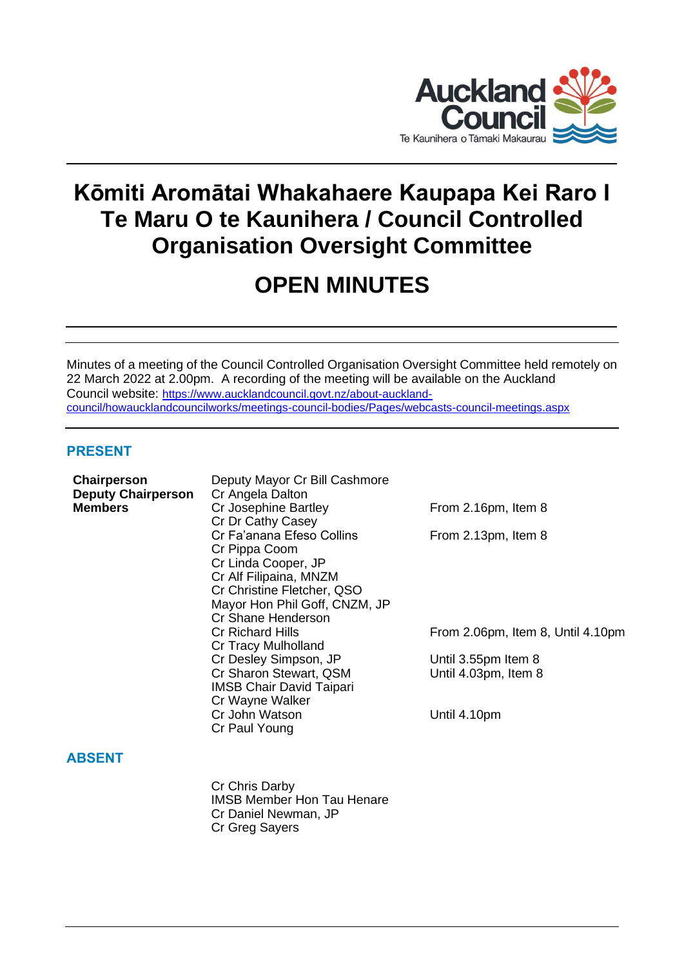

# **Kōmiti Aromātai Whakahaere Kaupapa Kei Raro I Te Maru O te Kaunihera / Council Controlled Organisation Oversight Committee**

## **OPEN MINUTES**

Minutes of a meeting of the Council Controlled Organisation Oversight Committee held remotely on 22 March 2022 at 2.00pm. A recording of the meeting will be available on the Auckland Council website: [https://www.aucklandcouncil.govt.nz/about-auckland](https://www.aucklandcouncil.govt.nz/about-auckland-council/howaucklandcouncilworks/meetings-council-bodies/Pages/webcasts-council-meetings.aspx)[council/howaucklandcouncilworks/meetings-council-bodies/Pages/webcasts-council-meetings.aspx](https://www.aucklandcouncil.govt.nz/about-auckland-council/howaucklandcouncilworks/meetings-council-bodies/Pages/webcasts-council-meetings.aspx)

## **PRESENT**

| Chairperson<br><b>Deputy Chairperson</b><br><b>Members</b> | Deputy Mayor Cr Bill Cashmore<br>Cr Angela Dalton<br>Cr Josephine Bartley<br>Cr Dr Cathy Casey<br>Cr Fa'anana Efeso Collins<br>Cr Pippa Coom<br>Cr Linda Cooper, JP<br>Cr Alf Filipaina, MNZM<br>Cr Christine Fletcher, QSO<br>Mayor Hon Phil Goff, CNZM, JP<br>Cr Shane Henderson<br><b>Cr Richard Hills</b><br>Cr Tracy Mulholland<br>Cr Desley Simpson, JP<br>Cr Sharon Stewart, QSM<br><b>IMSB Chair David Taipari</b><br>Cr Wayne Walker<br>Cr John Watson<br>Cr Paul Young | From 2.16pm, Item 8<br>From 2.13pm, Item 8<br>From 2.06pm, Item 8, Until 4.10pm<br>Until 3.55pm Item 8<br>Until 4.03pm, Item 8<br>Until 4.10pm |
|------------------------------------------------------------|----------------------------------------------------------------------------------------------------------------------------------------------------------------------------------------------------------------------------------------------------------------------------------------------------------------------------------------------------------------------------------------------------------------------------------------------------------------------------------|------------------------------------------------------------------------------------------------------------------------------------------------|
| <b>ABSENT</b>                                              |                                                                                                                                                                                                                                                                                                                                                                                                                                                                                  |                                                                                                                                                |
|                                                            | Cr Chris Darby<br><b>IMSB Member Hon Tau Henare</b><br>Cr Daniel Newman, JP<br>Cr Greg Sayers                                                                                                                                                                                                                                                                                                                                                                                    |                                                                                                                                                |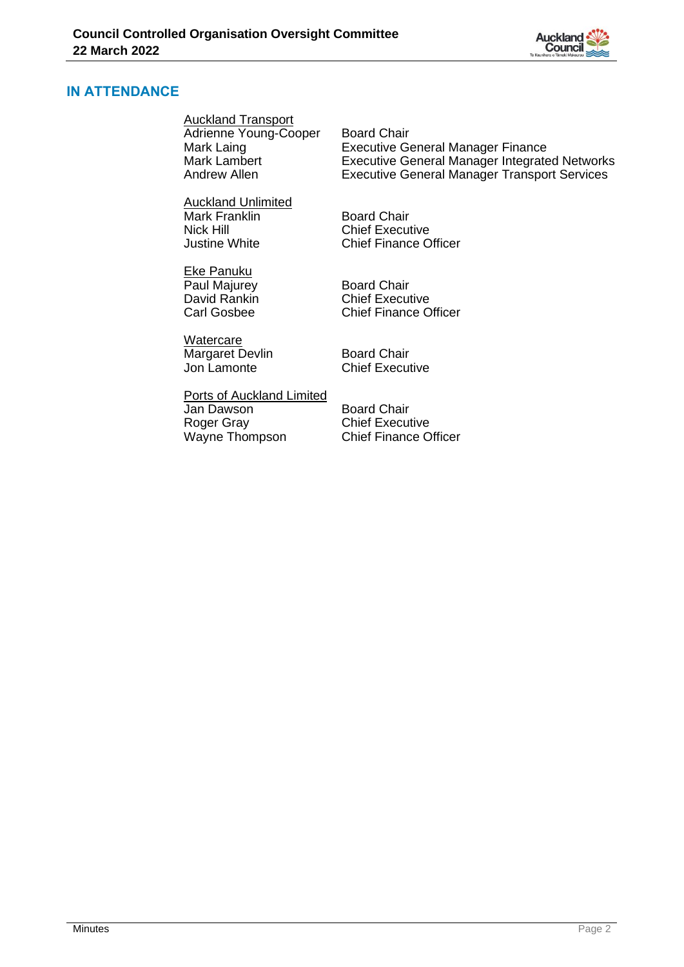

## **IN ATTENDANCE**

Auckland Transport

Adrienne Young-Cooper Board Chair<br>Mark Laing Executive G Mark Laing<br>
Mark Lambert **Executive General Manager Finance**<br>
Executive General Manager Integrate Andrew Allen Executive General Manager Transport Services

Auckland Unlimited Mark Franklin Board Chair Nick Hill<br>Justine White **Chief Executive**<br>Chief Finance C

Eke Panuku Paul Majurey **Board Chair**<br>
David Rankin **Bull Chair**<br>
Chief Execu

**Watercare** Margaret Devlin Board Chair<br>
Jon Lamonte Chief Execu

**Chief Finance Officer** 

Executive General Manager Integrated Networks

David Rankin<br>
Chief Executive<br>
Chief Finance C Chief Finance Officer

**Chief Executive** 

Ports of Auckland Limited **Jan Dawson** Board Chair<br>
Roger Gray **Board Chair**<br>
Chief Execu Wayne Thompson

Chief Executive<br>Chief Finance Officer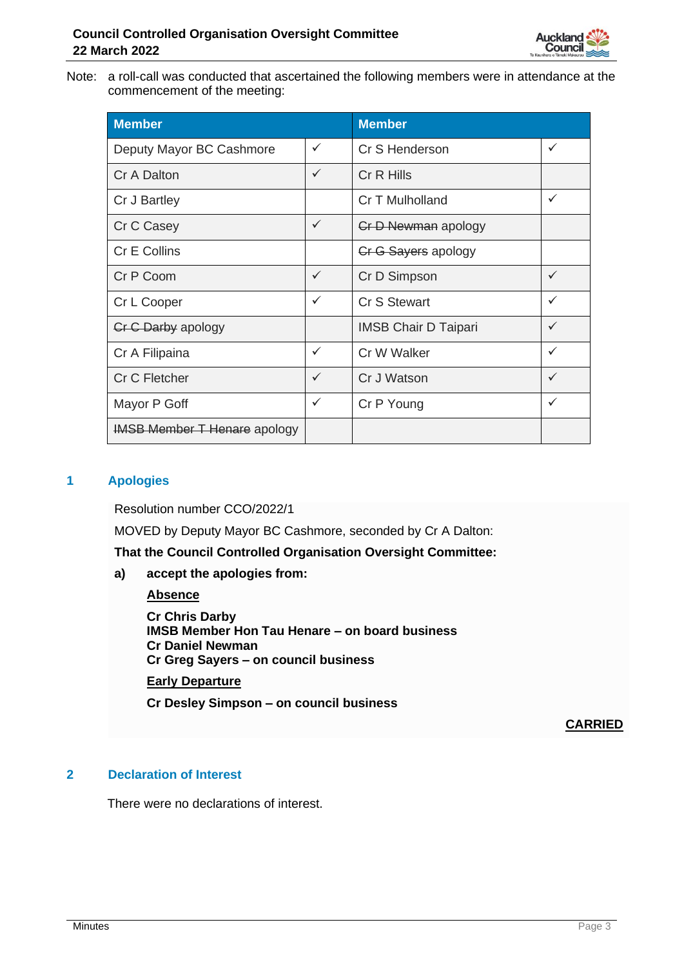

Note: a roll-call was conducted that ascertained the following members were in attendance at the commencement of the meeting:

| <b>Member</b>                       |              | <b>Member</b>               |              |
|-------------------------------------|--------------|-----------------------------|--------------|
| Deputy Mayor BC Cashmore            | ✓            | Cr S Henderson              | $\checkmark$ |
| Cr A Dalton                         | $\checkmark$ | Cr R Hills                  |              |
| Cr J Bartley                        |              | Cr T Mulholland             | $\checkmark$ |
| Cr C Casey                          | $\checkmark$ | <b>Cr D Newman apology</b>  |              |
| Cr E Collins                        |              | Cr G Sayers apology         |              |
| Cr P Coom                           | $\checkmark$ | Cr D Simpson                | $\checkmark$ |
| Cr L Cooper                         | $\checkmark$ | Cr S Stewart                | $\checkmark$ |
| <b>Cr C Darby apology</b>           |              | <b>IMSB Chair D Taipari</b> | $\checkmark$ |
| Cr A Filipaina                      | $\checkmark$ | Cr W Walker                 | $\checkmark$ |
| Cr C Fletcher                       | $\checkmark$ | Cr J Watson                 | $\checkmark$ |
| Mayor P Goff                        | $\checkmark$ | Cr P Young                  | $\checkmark$ |
| <b>IMSB Member T Henare apology</b> |              |                             |              |

## **1 Apologies**

Resolution number CCO/2022/1

MOVED by Deputy Mayor BC Cashmore, seconded by Cr A Dalton:

**That the Council Controlled Organisation Oversight Committee:**

**a) accept the apologies from:**

#### **Absence**

**Cr Chris Darby IMSB Member Hon Tau Henare – on board business Cr Daniel Newman Cr Greg Sayers – on council business**

## **Early Departure**

**Cr Desley Simpson – on council business**

**CARRIED**

## **2 Declaration of Interest**

There were no declarations of interest.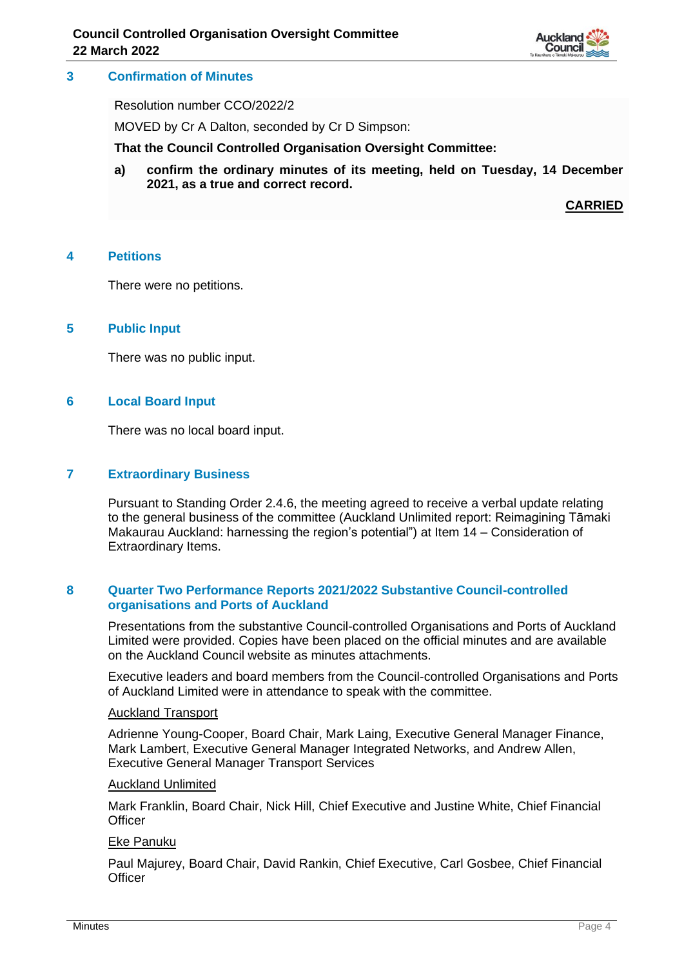

## **3 Confirmation of Minutes**

Resolution number CCO/2022/2

MOVED by Cr A Dalton, seconded by Cr D Simpson:

**That the Council Controlled Organisation Oversight Committee:**

**a) confirm the ordinary minutes of its meeting, held on Tuesday, 14 December 2021, as a true and correct record.**

**CARRIED**

#### **4 Petitions**

There were no petitions.

#### **5 Public Input**

There was no public input.

## **6 Local Board Input**

There was no local board input.

## **7 Extraordinary Business**

Pursuant to Standing Order 2.4.6, the meeting agreed to receive a verbal update relating to the general business of the committee (Auckland Unlimited report: Reimagining Tāmaki Makaurau Auckland: harnessing the region's potential") at Item 14 – Consideration of Extraordinary Items.

## **8 Quarter Two Performance Reports 2021/2022 Substantive Council-controlled organisations and Ports of Auckland**

Presentations from the substantive Council-controlled Organisations and Ports of Auckland Limited were provided. Copies have been placed on the official minutes and are available on the Auckland Council website as minutes attachments.

Executive leaders and board members from the Council-controlled Organisations and Ports of Auckland Limited were in attendance to speak with the committee.

#### Auckland Transport

Adrienne Young-Cooper, Board Chair, Mark Laing, Executive General Manager Finance, Mark Lambert, Executive General Manager Integrated Networks, and Andrew Allen, Executive General Manager Transport Services

#### Auckland Unlimited

Mark Franklin, Board Chair, Nick Hill, Chief Executive and Justine White, Chief Financial **Officer** 

#### Eke Panuku

Paul Majurey, Board Chair, David Rankin, Chief Executive, Carl Gosbee, Chief Financial **Officer**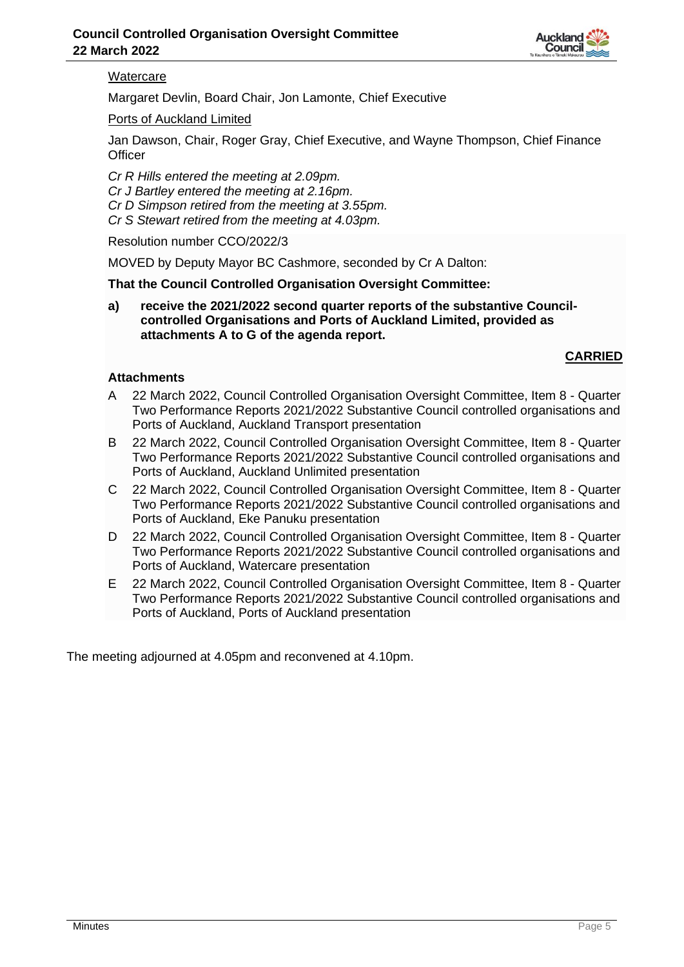

## **Watercare**

Margaret Devlin, Board Chair, Jon Lamonte, Chief Executive

Ports of Auckland Limited

Jan Dawson, Chair, Roger Gray, Chief Executive, and Wayne Thompson, Chief Finance **Officer** 

*Cr R Hills entered the meeting at 2.09pm. Cr J Bartley entered the meeting at 2.16pm. Cr D Simpson retired from the meeting at 3.55pm. Cr S Stewart retired from the meeting at 4.03pm.*

Resolution number CCO/2022/3

MOVED by Deputy Mayor BC Cashmore, seconded by Cr A Dalton:

**That the Council Controlled Organisation Oversight Committee:**

**a) receive the 2021/2022 second quarter reports of the substantive Councilcontrolled Organisations and Ports of Auckland Limited, provided as attachments A to G of the agenda report.**

## **CARRIED**

## **Attachments**

- A 22 March 2022, Council Controlled Organisation Oversight Committee, Item 8 Quarter Two Performance Reports 2021/2022 Substantive Council controlled organisations and Ports of Auckland, Auckland Transport presentation
- B 22 March 2022, Council Controlled Organisation Oversight Committee, Item 8 Quarter Two Performance Reports 2021/2022 Substantive Council controlled organisations and Ports of Auckland, Auckland Unlimited presentation
- C 22 March 2022, Council Controlled Organisation Oversight Committee, Item 8 Quarter Two Performance Reports 2021/2022 Substantive Council controlled organisations and Ports of Auckland, Eke Panuku presentation
- D 22 March 2022, Council Controlled Organisation Oversight Committee, Item 8 Quarter Two Performance Reports 2021/2022 Substantive Council controlled organisations and Ports of Auckland, Watercare presentation
- E 22 March 2022, Council Controlled Organisation Oversight Committee, Item 8 Quarter Two Performance Reports 2021/2022 Substantive Council controlled organisations and Ports of Auckland, Ports of Auckland presentation

The meeting adjourned at 4.05pm and reconvened at 4.10pm.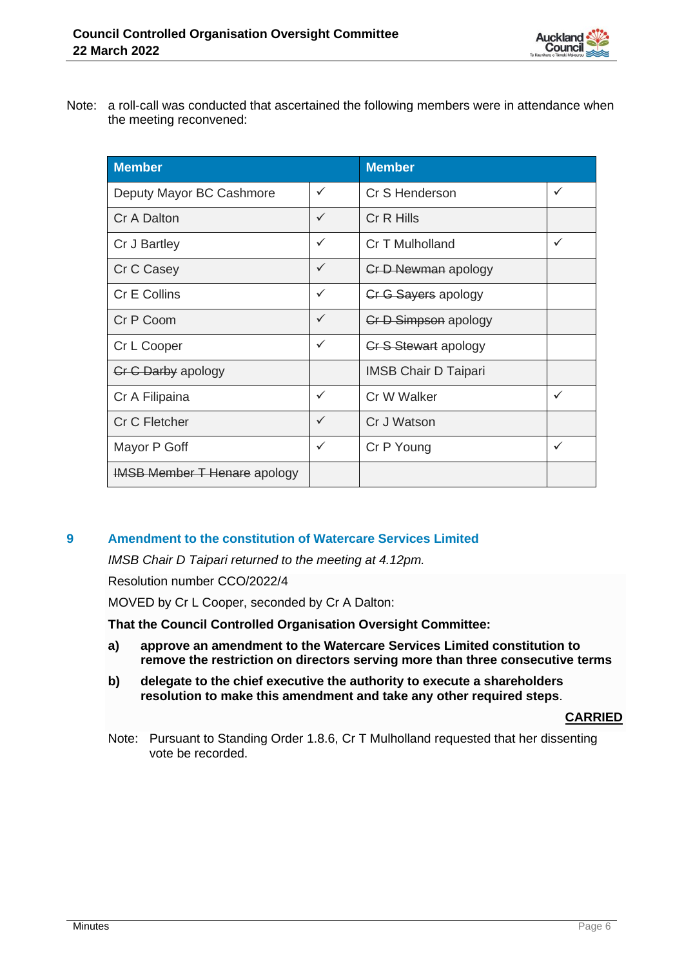

Note: a roll-call was conducted that ascertained the following members were in attendance when the meeting reconvened:

| <b>Member</b>                       |              | <b>Member</b>               |   |
|-------------------------------------|--------------|-----------------------------|---|
| Deputy Mayor BC Cashmore            | ✓            | Cr S Henderson              | ✓ |
| Cr A Dalton                         | $\checkmark$ | Cr R Hills                  |   |
| Cr J Bartley                        | $\checkmark$ | Cr T Mulholland             |   |
| Cr C Casey                          | $\checkmark$ | <b>Cr D Newman apology</b>  |   |
| Cr E Collins                        | $\checkmark$ | <b>Cr G Sayers apology</b>  |   |
| Cr P Coom                           | $\checkmark$ | Cr D Simpson apology        |   |
| Cr L Cooper                         | $\checkmark$ | <b>Cr S Stewart apology</b> |   |
| <b>Cr C Darby apology</b>           |              | <b>IMSB Chair D Taipari</b> |   |
| Cr A Filipaina                      | $\checkmark$ | Cr W Walker                 | ✓ |
| Cr C Fletcher                       | $\checkmark$ | Cr J Watson                 |   |
| Mayor P Goff                        | $\checkmark$ | Cr P Young                  | ✓ |
| <b>IMSB Member T Henare apology</b> |              |                             |   |

## **9 Amendment to the constitution of Watercare Services Limited**

*IMSB Chair D Taipari returned to the meeting at 4.12pm.*

Resolution number CCO/2022/4

MOVED by Cr L Cooper, seconded by Cr A Dalton:

**That the Council Controlled Organisation Oversight Committee:**

- **a) approve an amendment to the Watercare Services Limited constitution to remove the restriction on directors serving more than three consecutive terms**
- **b) delegate to the chief executive the authority to execute a shareholders resolution to make this amendment and take any other required steps**.

#### **CARRIED**

Note: Pursuant to Standing Order 1.8.6, Cr T Mulholland requested that her dissenting vote be recorded.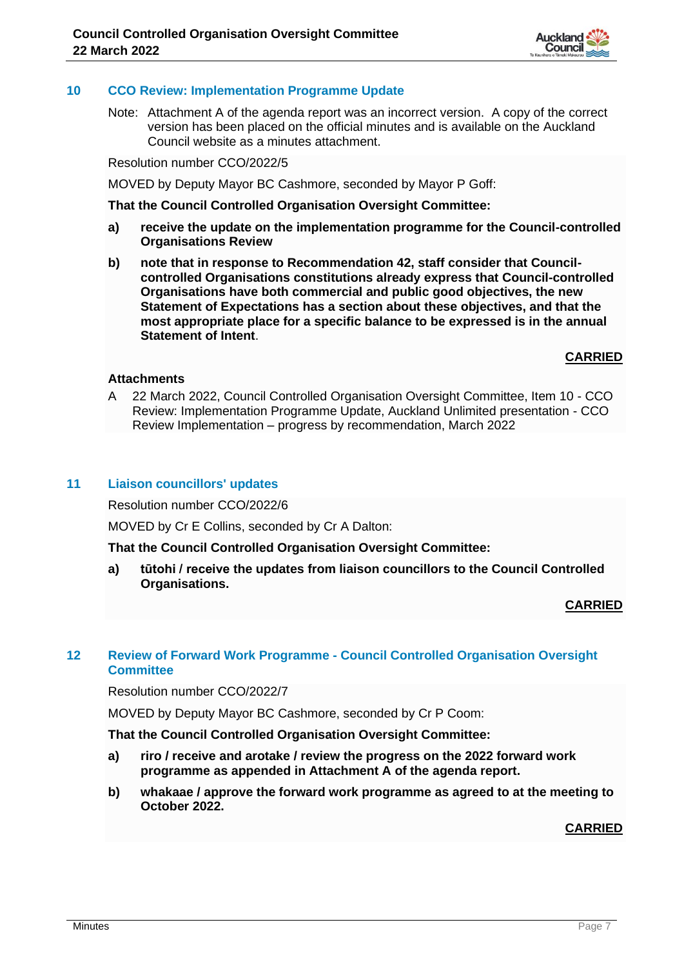## **10 CCO Review: Implementation Programme Update**

Note: Attachment A of the agenda report was an incorrect version. A copy of the correct version has been placed on the official minutes and is available on the Auckland Council website as a minutes attachment.

Resolution number CCO/2022/5

MOVED by Deputy Mayor BC Cashmore, seconded by Mayor P Goff:

**That the Council Controlled Organisation Oversight Committee:**

- **a) receive the update on the implementation programme for the Council-controlled Organisations Review**
- **b) note that in response to Recommendation 42, staff consider that Councilcontrolled Organisations constitutions already express that Council-controlled Organisations have both commercial and public good objectives, the new Statement of Expectations has a section about these objectives, and that the most appropriate place for a specific balance to be expressed is in the annual Statement of Intent**.

## **CARRIED**

## **Attachments**

A 22 March 2022, Council Controlled Organisation Oversight Committee, Item 10 - CCO Review: Implementation Programme Update, Auckland Unlimited presentation - CCO Review Implementation – progress by recommendation, March 2022

## **11 Liaison councillors' updates**

Resolution number CCO/2022/6

MOVED by Cr E Collins, seconded by Cr A Dalton:

**That the Council Controlled Organisation Oversight Committee:**

**a) tūtohi / receive the updates from liaison councillors to the Council Controlled Organisations.** 

**CARRIED**

## **12 Review of Forward Work Programme - Council Controlled Organisation Oversight Committee**

Resolution number CCO/2022/7

MOVED by Deputy Mayor BC Cashmore, seconded by Cr P Coom:

**That the Council Controlled Organisation Oversight Committee:**

- **a) riro / receive and arotake / review the progress on the 2022 forward work programme as appended in Attachment A of the agenda report.**
- **b) whakaae / approve the forward work programme as agreed to at the meeting to October 2022.**

## **CARRIED**

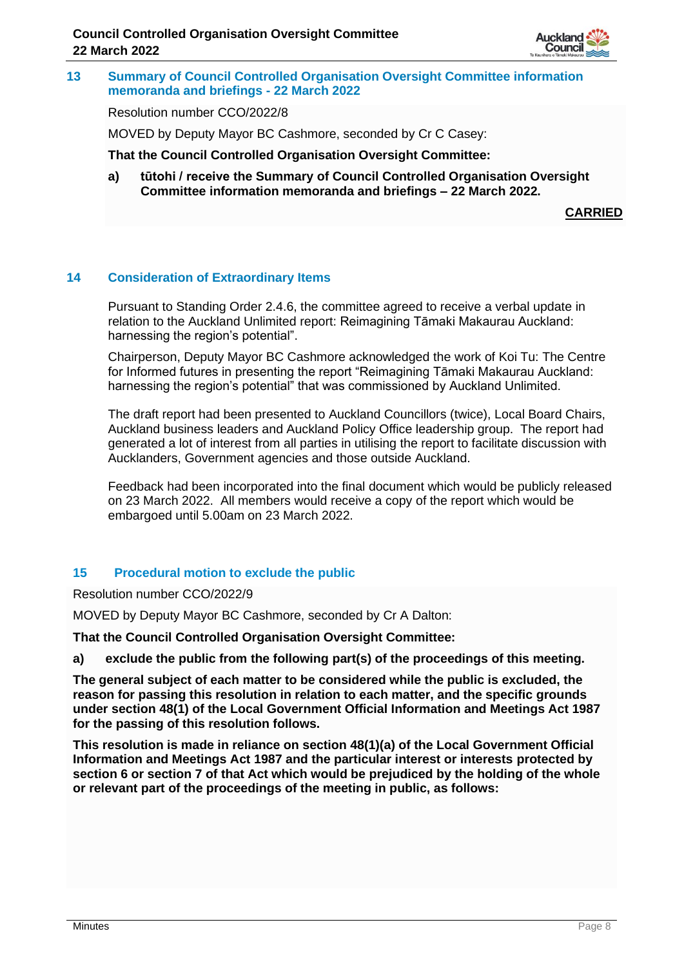

**13 Summary of Council Controlled Organisation Oversight Committee information memoranda and briefings - 22 March 2022**

Resolution number CCO/2022/8

MOVED by Deputy Mayor BC Cashmore, seconded by Cr C Casey:

**That the Council Controlled Organisation Oversight Committee:**

**a) tūtohi / receive the Summary of Council Controlled Organisation Oversight Committee information memoranda and briefings – 22 March 2022.**

**CARRIED**

## **14 Consideration of Extraordinary Items**

Pursuant to Standing Order 2.4.6, the committee agreed to receive a verbal update in relation to the Auckland Unlimited report: Reimagining Tāmaki Makaurau Auckland: harnessing the region's potential".

Chairperson, Deputy Mayor BC Cashmore acknowledged the work of Koi Tu: The Centre for Informed futures in presenting the report "Reimagining Tāmaki Makaurau Auckland: harnessing the region's potential" that was commissioned by Auckland Unlimited.

The draft report had been presented to Auckland Councillors (twice), Local Board Chairs, Auckland business leaders and Auckland Policy Office leadership group. The report had generated a lot of interest from all parties in utilising the report to facilitate discussion with Aucklanders, Government agencies and those outside Auckland.

Feedback had been incorporated into the final document which would be publicly released on 23 March 2022. All members would receive a copy of the report which would be embargoed until 5.00am on 23 March 2022.

## **15 Procedural motion to exclude the public**

Resolution number CCO/2022/9

MOVED by Deputy Mayor BC Cashmore, seconded by Cr A Dalton:

**That the Council Controlled Organisation Oversight Committee:**

**a) exclude the public from the following part(s) of the proceedings of this meeting.**

**The general subject of each matter to be considered while the public is excluded, the reason for passing this resolution in relation to each matter, and the specific grounds under section 48(1) of the Local Government Official Information and Meetings Act 1987 for the passing of this resolution follows.**

**This resolution is made in reliance on section 48(1)(a) of the Local Government Official Information and Meetings Act 1987 and the particular interest or interests protected by section 6 or section 7 of that Act which would be prejudiced by the holding of the whole or relevant part of the proceedings of the meeting in public, as follows:**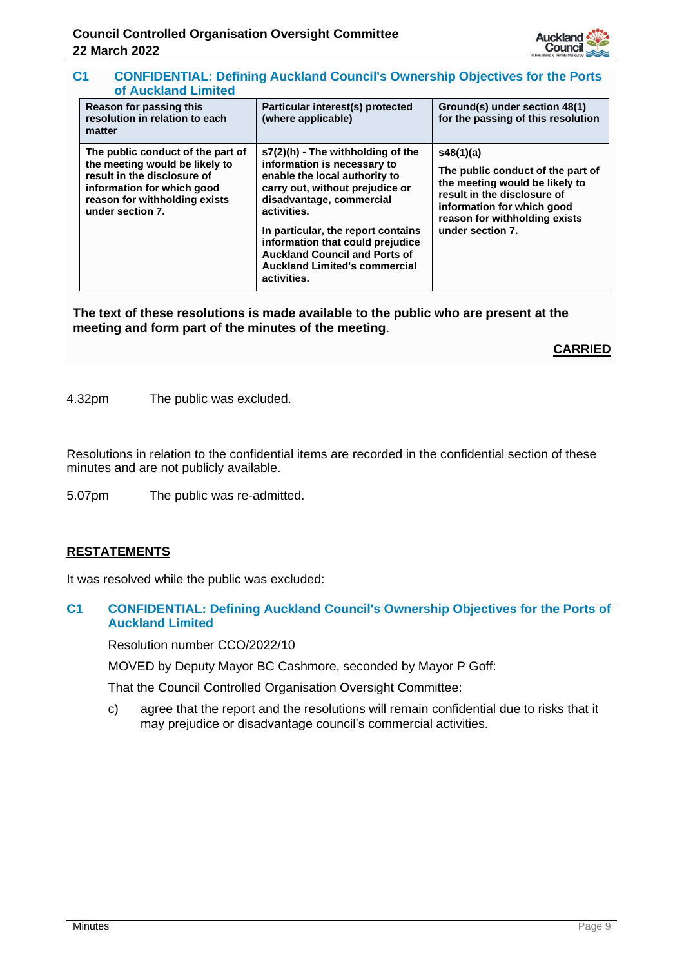

## **C1 CONFIDENTIAL: Defining Auckland Council's Ownership Objectives for the Ports of Auckland Limited**

| Reason for passing this<br>resolution in relation to each<br>matter                                                                                                                   | Particular interest(s) protected<br>(where applicable)                                                                                                                                                                                                                                                                                                     | Ground(s) under section 48(1)<br>for the passing of this resolution                                                                                                                                |
|---------------------------------------------------------------------------------------------------------------------------------------------------------------------------------------|------------------------------------------------------------------------------------------------------------------------------------------------------------------------------------------------------------------------------------------------------------------------------------------------------------------------------------------------------------|----------------------------------------------------------------------------------------------------------------------------------------------------------------------------------------------------|
| The public conduct of the part of<br>the meeting would be likely to<br>result in the disclosure of<br>information for which good<br>reason for withholding exists<br>under section 7. | $s7(2)(h)$ - The withholding of the<br>information is necessary to<br>enable the local authority to<br>carry out, without prejudice or<br>disadvantage, commercial<br>activities.<br>In particular, the report contains<br>information that could prejudice<br><b>Auckland Council and Ports of</b><br><b>Auckland Limited's commercial</b><br>activities. | s48(1)(a)<br>The public conduct of the part of<br>the meeting would be likely to<br>result in the disclosure of<br>information for which good<br>reason for withholding exists<br>under section 7. |

**The text of these resolutions is made available to the public who are present at the meeting and form part of the minutes of the meeting**.

**CARRIED**

4.32pm The public was excluded.

Resolutions in relation to the confidential items are recorded in the confidential section of these minutes and are not publicly available.

5.07pm The public was re-admitted.

## **RESTATEMENTS**

It was resolved while the public was excluded:

## **C1 CONFIDENTIAL: Defining Auckland Council's Ownership Objectives for the Ports of Auckland Limited**

Resolution number CCO/2022/10

MOVED by Deputy Mayor BC Cashmore, seconded by Mayor P Goff:

That the Council Controlled Organisation Oversight Committee:

c) agree that the report and the resolutions will remain confidential due to risks that it may prejudice or disadvantage council's commercial activities.